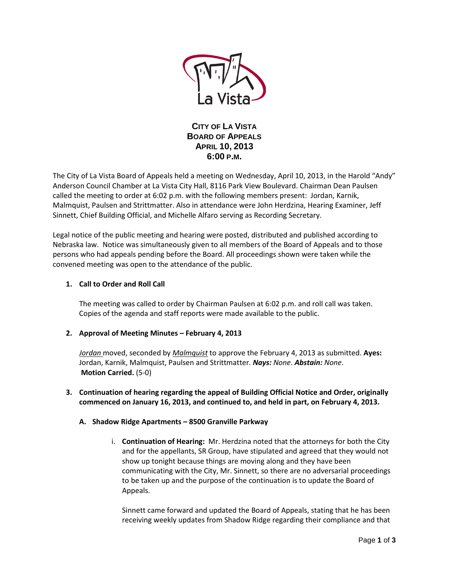

**CITY OF LA VISTA BOARD OF APPEALS APRIL 10, 2013 6:00 P.M.**

The City of La Vista Board of Appeals held a meeting on Wednesday, April 10, 2013, in the Harold "Andy" Anderson Council Chamber at La Vista City Hall, 8116 Park View Boulevard. Chairman Dean Paulsen called the meeting to order at 6:02 p.m. with the following members present: Jordan, Karnik, Malmquist, Paulsen and Strittmatter. Also in attendance were John Herdzina, Hearing Examiner, Jeff Sinnett, Chief Building Official, and Michelle Alfaro serving as Recording Secretary.

Legal notice of the public meeting and hearing were posted, distributed and published according to Nebraska law. Notice was simultaneously given to all members of the Board of Appeals and to those persons who had appeals pending before the Board. All proceedings shown were taken while the convened meeting was open to the attendance of the public.

## **1. Call to Order and Roll Call**

The meeting was called to order by Chairman Paulsen at 6:02 p.m. and roll call was taken. Copies of the agenda and staff reports were made available to the public.

# **2. Approval of Meeting Minutes – February 4, 2013**

*Jordan* moved, seconded by *Malmquist* to approve the February 4, 2013 as submitted. **Ayes:** Jordan, Karnik, Malmquist, Paulsen and Strittmatter*. Nays: None*. *Abstain: None*. **Motion Carried.** (5-0)

**3. Continuation of hearing regarding the appeal of Building Official Notice and Order, originally commenced on January 16, 2013, and continued to, and held in part, on February 4, 2013.**

### **A. Shadow Ridge Apartments – 8500 Granville Parkway**

i. **Continuation of Hearing:** Mr. Herdzina noted that the attorneys for both the City and for the appellants, SR Group, have stipulated and agreed that they would not show up tonight because things are moving along and they have been communicating with the City, Mr. Sinnett, so there are no adversarial proceedings to be taken up and the purpose of the continuation is to update the Board of Appeals.

Sinnett came forward and updated the Board of Appeals, stating that he has been receiving weekly updates from Shadow Ridge regarding their compliance and that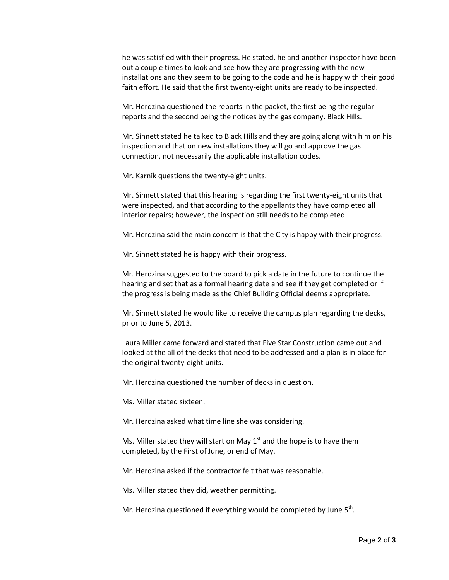he was satisfied with their progress. He stated, he and another inspector have been out a couple times to look and see how they are progressing with the new installations and they seem to be going to the code and he is happy with their good faith effort. He said that the first twenty-eight units are ready to be inspected.

Mr. Herdzina questioned the reports in the packet, the first being the regular reports and the second being the notices by the gas company, Black Hills.

Mr. Sinnett stated he talked to Black Hills and they are going along with him on his inspection and that on new installations they will go and approve the gas connection, not necessarily the applicable installation codes.

Mr. Karnik questions the twenty-eight units.

Mr. Sinnett stated that this hearing is regarding the first twenty-eight units that were inspected, and that according to the appellants they have completed all interior repairs; however, the inspection still needs to be completed.

Mr. Herdzina said the main concern is that the City is happy with their progress.

Mr. Sinnett stated he is happy with their progress.

Mr. Herdzina suggested to the board to pick a date in the future to continue the hearing and set that as a formal hearing date and see if they get completed or if the progress is being made as the Chief Building Official deems appropriate.

Mr. Sinnett stated he would like to receive the campus plan regarding the decks, prior to June 5, 2013.

Laura Miller came forward and stated that Five Star Construction came out and looked at the all of the decks that need to be addressed and a plan is in place for the original twenty-eight units.

Mr. Herdzina questioned the number of decks in question.

Ms. Miller stated sixteen.

Mr. Herdzina asked what time line she was considering.

Ms. Miller stated they will start on May  $1<sup>st</sup>$  and the hope is to have them completed, by the First of June, or end of May.

Mr. Herdzina asked if the contractor felt that was reasonable.

Ms. Miller stated they did, weather permitting.

Mr. Herdzina questioned if everything would be completed by June  $5<sup>th</sup>$ .